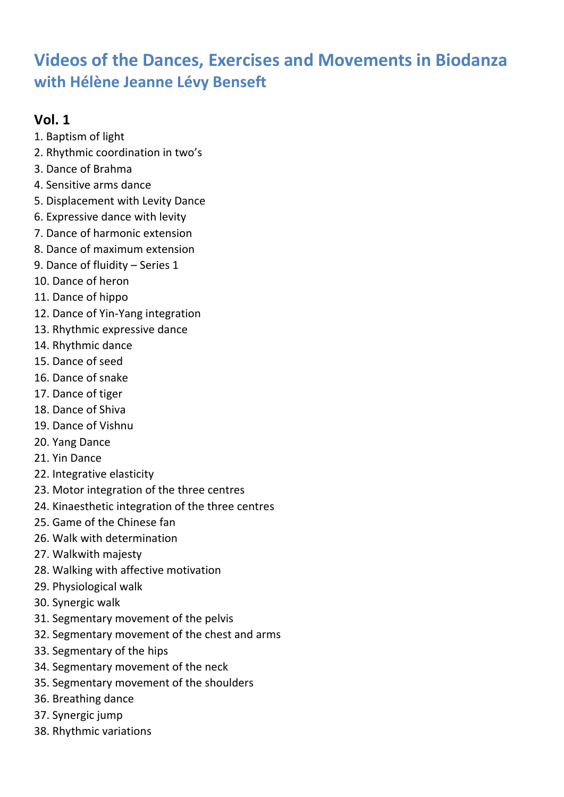# **Videos of the Dances, Exercises and Movements in Biodanza with Hélène Jeanne Lévy Benseft**

### **Vol. 1**

- 1. Baptism of light
- 2. Rhythmic coordination in two's
- 3. Dance of Brahma
- 4. Sensitive arms dance
- 5. Displacement with Levity Dance
- 6. Expressive dance with levity
- 7. Dance of harmonic extension
- 8. Dance of maximum extension
- 9. Dance of fluidity Series 1
- 10. Dance of heron
- 11. Dance of hippo
- 12. Dance of Yin-Yang integration
- 13. Rhythmic expressive dance
- 14. Rhythmic dance
- 15. Dance of seed
- 16. Dance of snake
- 17. Dance of tiger
- 18. Dance of Shiva
- 19. Dance of Vishnu
- 20. Yang Dance
- 21. Yin Dance
- 22. Integrative elasticity
- 23. Motor integration of the three centres
- 24. Kinaesthetic integration of the three centres
- 25. Game of the Chinese fan
- 26. Walk with determination
- 27. Walkwith majesty
- 28. Walking with affective motivation
- 29. Physiological walk
- 30. Synergic walk
- 31. Segmentary movement of the pelvis
- 32. Segmentary movement of the chest and arms
- 33. Segmentary of the hips
- 34. Segmentary movement of the neck
- 35. Segmentary movement of the shoulders
- 36. Breathing dance
- 37. Synergic jump
- 38. Rhythmic variations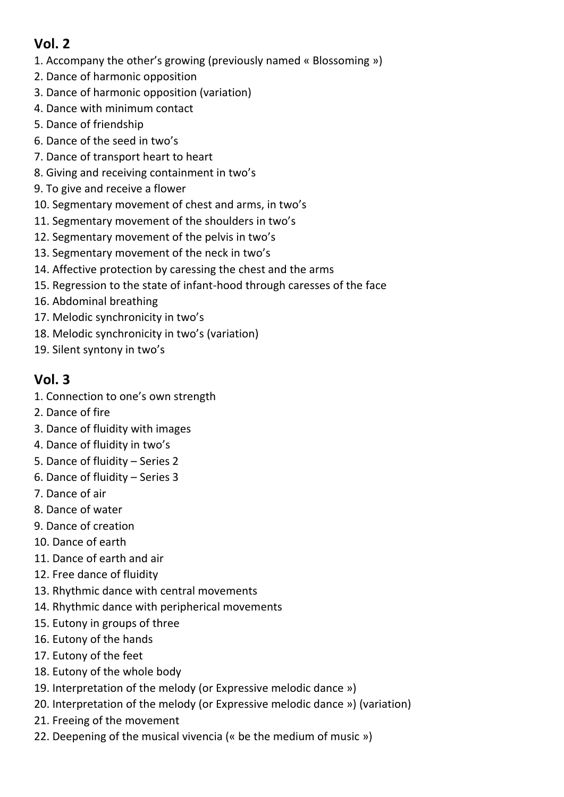## **Vol. 2**

- 1. Accompany the other's growing (previously named « Blossoming »)
- 2. Dance of harmonic opposition
- 3. Dance of harmonic opposition (variation)
- 4. Dance with minimum contact
- 5. Dance of friendship
- 6. Dance of the seed in two's
- 7. Dance of transport heart to heart
- 8. Giving and receiving containment in two's
- 9. To give and receive a flower
- 10. Segmentary movement of chest and arms, in two's
- 11. Segmentary movement of the shoulders in two's
- 12. Segmentary movement of the pelvis in two's
- 13. Segmentary movement of the neck in two's
- 14. Affective protection by caressing the chest and the arms
- 15. Regression to the state of infant-hood through caresses of the face
- 16. Abdominal breathing
- 17. Melodic synchronicity in two's
- 18. Melodic synchronicity in two's (variation)
- 19. Silent syntony in two's

## **Vol. 3**

- 1. Connection to one's own strength
- 2. Dance of fire
- 3. Dance of fluidity with images
- 4. Dance of fluidity in two's
- 5. Dance of fluidity Series 2
- 6. Dance of fluidity Series 3
- 7. Dance of air
- 8. Dance of water
- 9. Dance of creation
- 10. Dance of earth
- 11. Dance of earth and air
- 12. Free dance of fluidity
- 13. Rhythmic dance with central movements
- 14. Rhythmic dance with peripherical movements
- 15. Eutony in groups of three
- 16. Eutony of the hands
- 17. Eutony of the feet
- 18. Eutony of the whole body
- 19. Interpretation of the melody (or Expressive melodic dance »)
- 20. Interpretation of the melody (or Expressive melodic dance ») (variation)
- 21. Freeing of the movement
- 22. Deepening of the musical vivencia (« be the medium of music »)